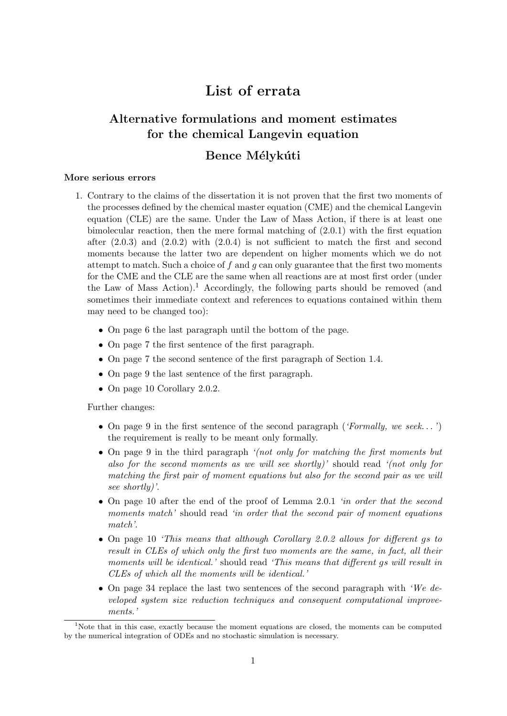# List of errata

## Alternative formulations and moment estimates for the chemical Langevin equation

### Bence Mélykúti

### More serious errors

- 1. Contrary to the claims of the dissertation it is not proven that the first two moments of the processes defined by the chemical master equation (CME) and the chemical Langevin equation (CLE) are the same. Under the Law of Mass Action, if there is at least one bimolecular reaction, then the mere formal matching of (2.0.1) with the first equation after  $(2.0.3)$  and  $(2.0.2)$  with  $(2.0.4)$  is not sufficient to match the first and second moments because the latter two are dependent on higher moments which we do not attempt to match. Such a choice of f and q can only guarantee that the first two moments for the CME and the CLE are the same when all reactions are at most first order (under the Law of Mass Action).<sup>1</sup> Accordingly, the following parts should be removed (and sometimes their immediate context and references to equations contained within them may need to be changed too):
	- On page 6 the last paragraph until the bottom of the page.
	- On page 7 the first sentence of the first paragraph.
	- On page 7 the second sentence of the first paragraph of Section 1.4.
	- On page 9 the last sentence of the first paragraph.
	- On page 10 Corollary 2.0.2.

Further changes:

- On page 9 in the first sentence of the second paragraph ('Formally, we seek...') the requirement is really to be meant only formally.
- On page 9 in the third paragraph '(not only for matching the first moments but also for the second moments as we will see shortly)' should read '(not only for matching the first pair of moment equations but also for the second pair as we will see shortly)'.
- On page 10 after the end of the proof of Lemma 2.0.1 *'in order that the second* moments match' should read 'in order that the second pair of moment equations match'.
- On page 10 'This means that although Corollary 2.0.2 allows for different gs to result in CLEs of which only the first two moments are the same, in fact, all their moments will be identical.' should read 'This means that different gs will result in CLEs of which all the moments will be identical.'
- On page 34 replace the last two sentences of the second paragraph with 'We developed system size reduction techniques and consequent computational improvements.'

<sup>&</sup>lt;sup>1</sup>Note that in this case, exactly because the moment equations are closed, the moments can be computed by the numerical integration of ODEs and no stochastic simulation is necessary.